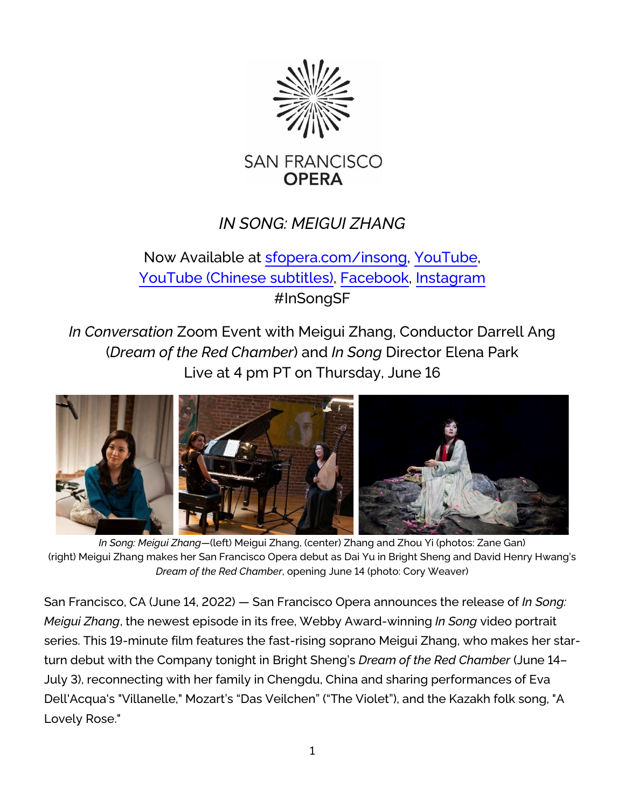

# *IN SONG: MEIGUI ZHANG*

## Now Available at [sfopera.com/insong,](https://www.sfopera.com/insong) [YouTube,](https://www.youtube.com/watch?v=VF8NydSVi7g) YouTube (Chinese [subtitles\),](https://www.youtube.com/watch?v=uCjddwQFuj0) [Facebook,](https://www.facebook.com/watch/?v=398961828947243) [Instagram](https://www.instagram.com/p/CejiXJqhaQS/) #InSongSF

*In Conversation* Zoom Event with Meigui Zhang, Conductor Darrell Ang (*Dream of the Red Chamber*) and *In Song* Director Elena Park Live at 4 pm PT on Thursday, June 16



*In Song: Meigui Zhang—*(left) Meigui Zhang, (center) Zhang and Zhou Yi (photos: Zane Gan) (right) Meigui Zhang makes her San Francisco Opera debut as Dai Yu in Bright Sheng and David Henry Hwang's *Dream of the Red Chamber*, opening June 14 (photo: Cory Weaver)

San Francisco, CA (June 14, 2022) — San Francisco Opera announces the release of *In Song: Meigui Zhang*, the newest episode in its free, Webby Award-winning *In Song* video portrait series. This 19-minute film features the fast-rising soprano Meigui Zhang, who makes her starturn debut with the Company tonight in Bright Sheng's *Dream of the Red Chamber* (June 14– July 3), reconnecting with her family in Chengdu, China and sharing performances of Eva Dell'Acqua's "Villanelle," Mozart's "Das Veilchen" ("The Violet"), and the Kazakh folk song, "A Lovely Rose."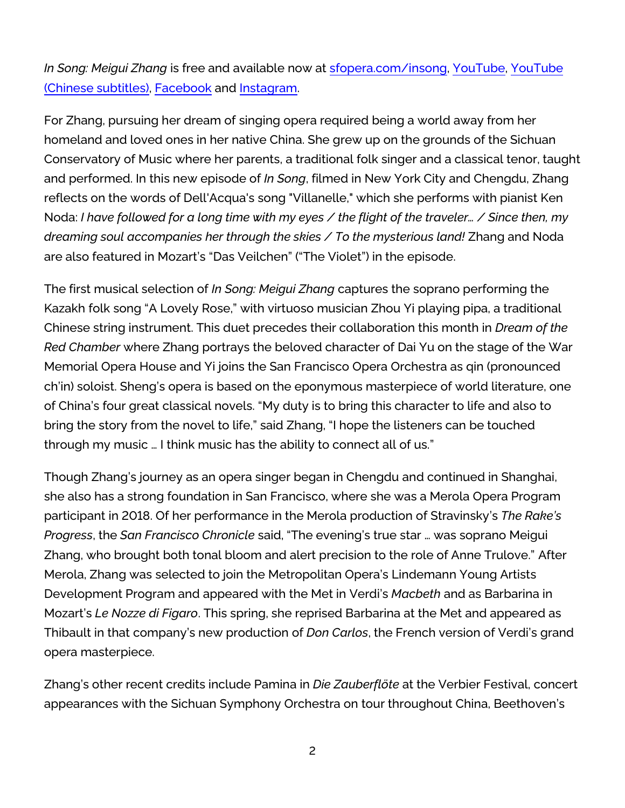*In Song: Meigui Zhang* is free and available now at [sfopera.com/insong,](https://www.sfopera.com/insong) [YouTube,](https://www.youtube.com/watch?v=VF8NydSVi7g) [YouTube](https://www.youtube.com/watch?v=uCjddwQFuj0)  (Chinese [subtitles\),](https://www.youtube.com/watch?v=uCjddwQFuj0) [Facebook](https://www.facebook.com/watch/?v=398961828947243) and [Instagram.](https://www.instagram.com/p/CejiXJqhaQS/)

For Zhang, pursuing her dream of singing opera required being a world away from her homeland and loved ones in her native China. She grew up on the grounds of the Sichuan Conservatory of Music where her parents, a traditional folk singer and a classical tenor, taught and performed. In this new episode of *In Song*, filmed in New York City and Chengdu, Zhang reflects on the words of Dell'Acqua's song "Villanelle," which she performs with pianist Ken Noda: *I have followed for a long time with my eyes / the flight of the traveler… / Since then, my dreaming soul accompanies her through the skies / To the mysterious land!* Zhang and Noda are also featured in Mozart's "Das Veilchen" ("The Violet") in the episode.

The first musical selection of *In Song: Meigui Zhang* captures the soprano performing the Kazakh folk song "A Lovely Rose," with virtuoso musician Zhou Yi playing pipa, a traditional Chinese string instrument. This duet precedes their collaboration this month in *Dream of the Red Chamber* where Zhang portrays the beloved character of Dai Yu on the stage of the War Memorial Opera House and Yi joins the San Francisco Opera Orchestra as qin (pronounced ch'in) soloist. Sheng's opera is based on the eponymous masterpiece of world literature, one of China's four great classical novels. "My duty is to bring this character to life and also to bring the story from the novel to life," said Zhang, "I hope the listeners can be touched through my music … I think music has the ability to connect all of us."

Though Zhang's journey as an opera singer began in Chengdu and continued in Shanghai, she also has a strong foundation in San Francisco, where she was a Merola Opera Program participant in 2018. Of her performance in the Merola production of Stravinsky's *The Rake's Progress*, the *San Francisco Chronicle* said, "The evening's true star … was soprano Meigui Zhang, who brought both tonal bloom and alert precision to the role of Anne Trulove." After Merola, Zhang was selected to join the Metropolitan Opera's Lindemann Young Artists Development Program and appeared with the Met in Verdi's *Macbeth* and as Barbarina in Mozart's *Le Nozze di Figaro*. This spring, she reprised Barbarina at the Met and appeared as Thibault in that company's new production of *Don Carlos*, the French version of Verdi's grand opera masterpiece.

Zhang's other recent credits include Pamina in *Die Zauberflöte* at the Verbier Festival, concert appearances with the Sichuan Symphony Orchestra on tour throughout China, Beethoven's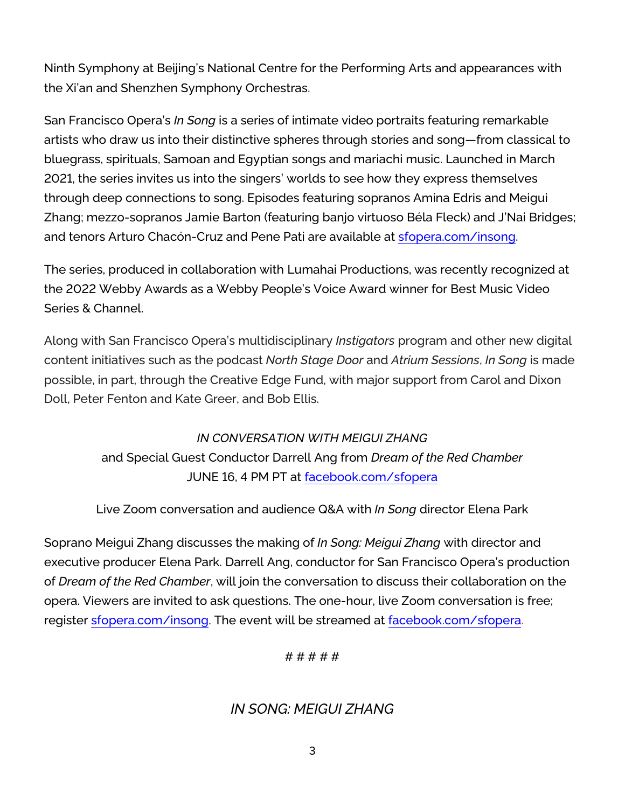Ninth Symphony at Beijing's National Centre for the Performing Arts and appearances with the Xi'an and Shenzhen Symphony Orchestras.

San Francisco Opera's *In Song* is a series of intimate video portraits featuring remarkable artists who draw us into their distinctive spheres through stories and song—from classical to bluegrass, spirituals, Samoan and Egyptian songs and mariachi music. Launched in March 2021, the series invites us into the singers' worlds to see how they express themselves through deep connections to song. Episodes featuring sopranos Amina Edris and Meigui Zhang; mezzo-sopranos Jamie Barton (featuring banjo virtuoso Béla Fleck) and J'Nai Bridges; and tenors Arturo Chacón-Cruz and Pene Pati are available at [sfopera.com/insong.](https://www.sfopera.com/insong) 

The series, produced in collaboration with Lumahai Productions, was recently recognized at the 2022 Webby Awards as a Webby People's Voice Award winner for Best Music Video Series & Channel.

Along with San Francisco Opera's multidisciplinary *Instigators* program and other new digital content initiatives such as the podcast *North Stage Door* and *Atrium Sessions*, *In Song* is made possible, in part, through the Creative Edge Fund, with major support from Carol and Dixon Doll, Peter Fenton and Kate Greer, and Bob Ellis.

## *IN CONVERSATION WITH MEIGUI ZHANG*  and Special Guest Conductor Darrell Ang from *Dream of the Red Chamber* JUNE 16, 4 PM PT at [facebook.com/sfopera](https://www.facebook.com/SFOpera)

Live Zoom conversation and audience Q&A with *In Song* director Elena Park

Soprano Meigui Zhang discusses the making of *In Song: Meigui Zhang* with director and executive producer Elena Park. Darrell Ang, conductor for San Francisco Opera's production of *Dream of the Red Chamber*, will join the conversation to discuss their collaboration on the opera. Viewers are invited to ask questions. The one-hour, live Zoom conversation is free; register [sfopera.com/insong.](https://www.sfopera.com/insong) The event will be streamed at [facebook.com/sfopera.](https://www.facebook.com/SFOpera)

# # # # #

### *IN SONG: MEIGUI ZHANG*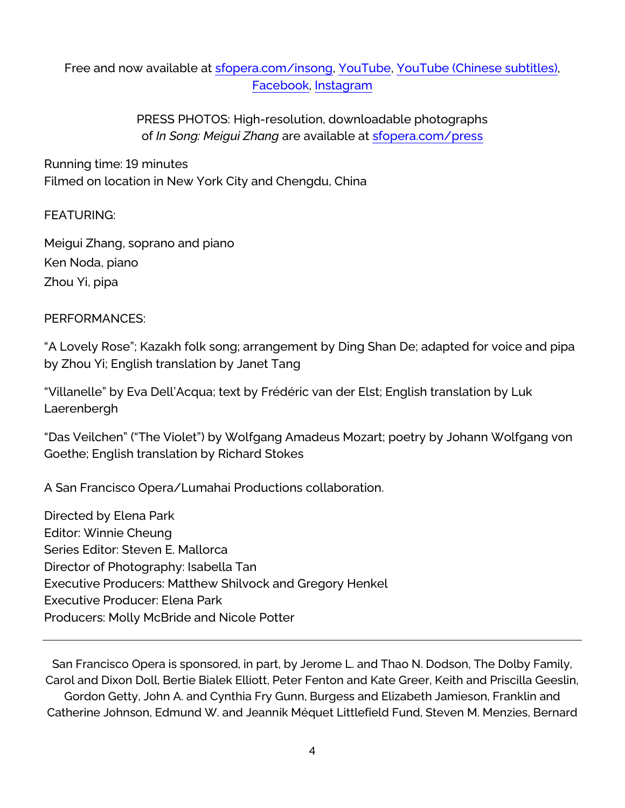### Free and now available at [sfopera.com/insong,](https://www.sfopera.com/insong) [YouTube,](https://www.youtube.com/watch?v=VF8NydSVi7g) [YouTube \(Chinese](https://www.youtube.com/watch?v=uCjddwQFuj0) subtitles), [Facebook,](https://www.facebook.com/watch/?v=398961828947243) [Instagram](https://www.instagram.com/p/CejiXJqhaQS/)

PRESS PHOTOS: High-resolution, downloadable photographs of *In Song: Meigui Zhang* are available at [sfopera.com/press](https://www.sfopera.com/press)

Running time: 19 minutes Filmed on location in New York City and Chengdu, China

#### FEATURING:

Meigui Zhang, soprano and piano Ken Noda, piano Zhou Yi, pipa

#### PERFORMANCES:

"A Lovely Rose"; Kazakh folk song; arrangement by Ding Shan De; adapted for voice and pipa by Zhou Yi; English translation by Janet Tang

"Villanelle" by Eva Dell'Acqua; text by Frédéric van der Elst; English translation by Luk Laerenbergh

"Das Veilchen" ("The Violet") by Wolfgang Amadeus Mozart; poetry by Johann Wolfgang von Goethe; English translation by Richard Stokes

A San Francisco Opera/Lumahai Productions collaboration.

Directed by Elena Park Editor: Winnie Cheung Series Editor: Steven E. Mallorca Director of Photography: Isabella Tan Executive Producers: Matthew Shilvock and Gregory Henkel Executive Producer: Elena Park Producers: Molly McBride and Nicole Potter

San Francisco Opera is sponsored, in part, by Jerome L. and Thao N. Dodson, The Dolby Family, Carol and Dixon Doll, Bertie Bialek Elliott, Peter Fenton and Kate Greer, Keith and Priscilla Geeslin, Gordon Getty, John A. and Cynthia Fry Gunn, Burgess and Elizabeth Jamieson, Franklin and Catherine Johnson, Edmund W. and Jeannik Méquet Littlefield Fund, Steven M. Menzies, Bernard